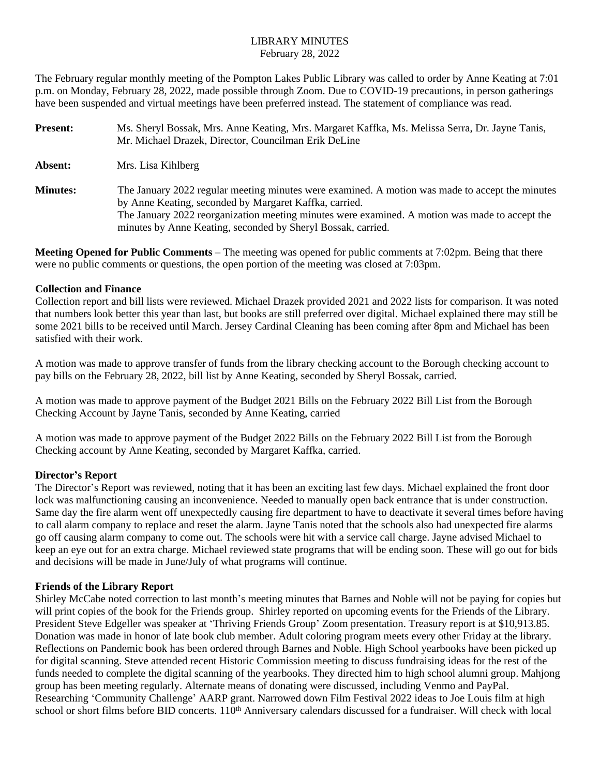#### LIBRARY MINUTES February 28, 2022

The February regular monthly meeting of the Pompton Lakes Public Library was called to order by Anne Keating at 7:01 p.m. on Monday, February 28, 2022, made possible through Zoom. Due to COVID-19 precautions, in person gatherings have been suspended and virtual meetings have been preferred instead. The statement of compliance was read.

| <b>Present:</b> | Ms. Sheryl Bossak, Mrs. Anne Keating, Mrs. Margaret Kaffka, Ms. Melissa Serra, Dr. Jayne Tanis,<br>Mr. Michael Drazek, Director, Councilman Erik DeLine                                                                                                                                                                     |
|-----------------|-----------------------------------------------------------------------------------------------------------------------------------------------------------------------------------------------------------------------------------------------------------------------------------------------------------------------------|
| Absent:         | Mrs. Lisa Kihlberg                                                                                                                                                                                                                                                                                                          |
| <b>Minutes:</b> | The January 2022 regular meeting minutes were examined. A motion was made to accept the minutes<br>by Anne Keating, seconded by Margaret Kaffka, carried.<br>The January 2022 reorganization meeting minutes were examined. A motion was made to accept the<br>minutes by Anne Keating, seconded by Sheryl Bossak, carried. |

**Meeting Opened for Public Comments** – The meeting was opened for public comments at 7:02pm. Being that there were no public comments or questions, the open portion of the meeting was closed at 7:03pm.

#### **Collection and Finance**

Collection report and bill lists were reviewed. Michael Drazek provided 2021 and 2022 lists for comparison. It was noted that numbers look better this year than last, but books are still preferred over digital. Michael explained there may still be some 2021 bills to be received until March. Jersey Cardinal Cleaning has been coming after 8pm and Michael has been satisfied with their work.

A motion was made to approve transfer of funds from the library checking account to the Borough checking account to pay bills on the February 28, 2022, bill list by Anne Keating, seconded by Sheryl Bossak, carried.

A motion was made to approve payment of the Budget 2021 Bills on the February 2022 Bill List from the Borough Checking Account by Jayne Tanis, seconded by Anne Keating, carried

A motion was made to approve payment of the Budget 2022 Bills on the February 2022 Bill List from the Borough Checking account by Anne Keating, seconded by Margaret Kaffka, carried.

## **Director's Report**

The Director's Report was reviewed, noting that it has been an exciting last few days. Michael explained the front door lock was malfunctioning causing an inconvenience. Needed to manually open back entrance that is under construction. Same day the fire alarm went off unexpectedly causing fire department to have to deactivate it several times before having to call alarm company to replace and reset the alarm. Jayne Tanis noted that the schools also had unexpected fire alarms go off causing alarm company to come out. The schools were hit with a service call charge. Jayne advised Michael to keep an eye out for an extra charge. Michael reviewed state programs that will be ending soon. These will go out for bids and decisions will be made in June/July of what programs will continue.

## **Friends of the Library Report**

Shirley McCabe noted correction to last month's meeting minutes that Barnes and Noble will not be paying for copies but will print copies of the book for the Friends group. Shirley reported on upcoming events for the Friends of the Library. President Steve Edgeller was speaker at 'Thriving Friends Group' Zoom presentation. Treasury report is at \$10,913.85. Donation was made in honor of late book club member. Adult coloring program meets every other Friday at the library. Reflections on Pandemic book has been ordered through Barnes and Noble. High School yearbooks have been picked up for digital scanning. Steve attended recent Historic Commission meeting to discuss fundraising ideas for the rest of the funds needed to complete the digital scanning of the yearbooks. They directed him to high school alumni group. Mahjong group has been meeting regularly. Alternate means of donating were discussed, including Venmo and PayPal. Researching 'Community Challenge' AARP grant. Narrowed down Film Festival 2022 ideas to Joe Louis film at high school or short films before BID concerts. 110<sup>th</sup> Anniversary calendars discussed for a fundraiser. Will check with local